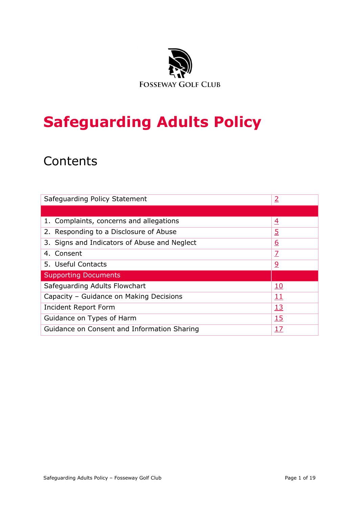

# **Safeguarding Adults Policy**

## **Contents**

| Safeguarding Policy Statement                | $\overline{2}$ |
|----------------------------------------------|----------------|
|                                              |                |
| 1. Complaints, concerns and allegations      | $\overline{4}$ |
| 2. Responding to a Disclosure of Abuse       | $\overline{5}$ |
| 3. Signs and Indicators of Abuse and Neglect | <u>6</u>       |
| 4. Consent                                   | Z              |
| 5. Useful Contacts                           | <u>و</u>       |
| <b>Supporting Documents</b>                  |                |
| Safeguarding Adults Flowchart                | <u>10</u>      |
| Capacity - Guidance on Making Decisions      | 11             |
| Incident Report Form                         | <u>13</u>      |
| Guidance on Types of Harm                    | 15             |
| Guidance on Consent and Information Sharing  | 17             |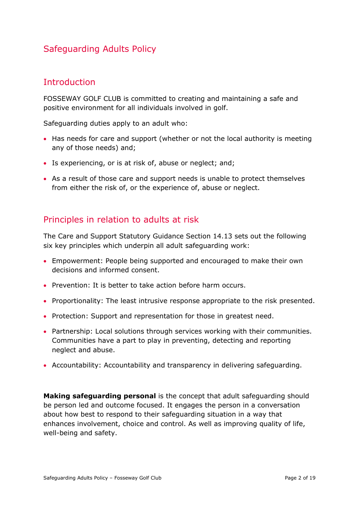### Safeguarding Adults Policy

### <span id="page-1-0"></span>**Introduction**

FOSSEWAY GOLF CLUB is committed to creating and maintaining a safe and positive environment for all individuals involved in golf.

Safeguarding duties apply to an adult who:

- Has needs for care and support (whether or not the local authority is meeting any of those needs) and;
- Is experiencing, or is at risk of, abuse or neglect; and;
- As a result of those care and support needs is unable to protect themselves from either the risk of, or the experience of, abuse or neglect.

### Principles in relation to adults at risk

The Care and Support Statutory Guidance Section 14.13 sets out the following six key principles which underpin all adult safeguarding work:

- Empowerment: People being supported and encouraged to make their own decisions and informed consent.
- Prevention: It is better to take action before harm occurs.
- Proportionality: The least intrusive response appropriate to the risk presented.
- Protection: Support and representation for those in greatest need.
- Partnership: Local solutions through services working with their communities. Communities have a part to play in preventing, detecting and reporting neglect and abuse.
- Accountability: Accountability and transparency in delivering safeguarding.

**Making safeguarding personal** is the concept that adult safeguarding should be person led and outcome focused. It engages the person in a conversation about how best to respond to their safeguarding situation in a way that enhances involvement, choice and control. As well as improving quality of life, well-being and safety.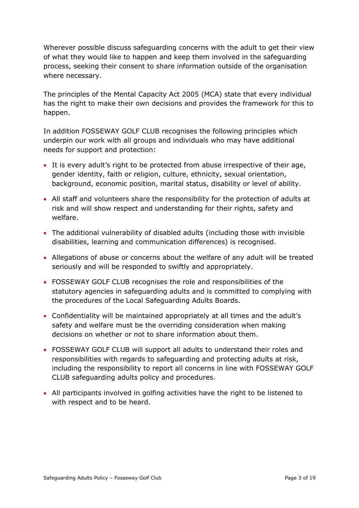Wherever possible discuss safeguarding concerns with the adult to get their view of what they would like to happen and keep them involved in the safeguarding process, seeking their consent to share information outside of the organisation where necessary.

The principles of the Mental Capacity Act 2005 (MCA) state that every individual has the right to make their own decisions and provides the framework for this to happen.

In addition FOSSEWAY GOLF CLUB recognises the following principles which underpin our work with all groups and individuals who may have additional needs for support and protection:

- It is every adult's right to be protected from abuse irrespective of their age, gender identity, faith or religion, culture, ethnicity, sexual orientation, background, economic position, marital status, disability or level of ability.
- All staff and volunteers share the responsibility for the protection of adults at risk and will show respect and understanding for their rights, safety and welfare.
- The additional vulnerability of disabled adults (including those with invisible disabilities, learning and communication differences) is recognised.
- Allegations of abuse or concerns about the welfare of any adult will be treated seriously and will be responded to swiftly and appropriately.
- FOSSEWAY GOLF CLUB recognises the role and responsibilities of the statutory agencies in safeguarding adults and is committed to complying with the procedures of the Local Safeguarding Adults Boards.
- Confidentiality will be maintained appropriately at all times and the adult's safety and welfare must be the overriding consideration when making decisions on whether or not to share information about them.
- FOSSEWAY GOLF CLUB will support all adults to understand their roles and responsibilities with regards to safeguarding and protecting adults at risk, including the responsibility to report all concerns in line with FOSSEWAY GOLF CLUB safeguarding adults policy and procedures.
- All participants involved in golfing activities have the right to be listened to with respect and to be heard.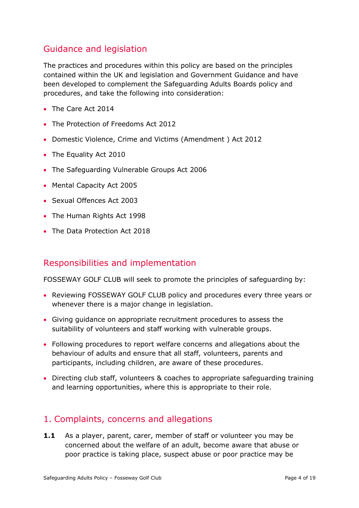### Guidance and legislation

The practices and procedures within this policy are based on the principles contained within the UK and legislation and Government Guidance and have been developed to complement the Safeguarding Adults Boards policy and procedures, and take the following into consideration:

- The Care Act 2014
- The Protection of Freedoms Act 2012
- Domestic Violence, Crime and Victims (Amendment ) Act 2012
- The Equality Act 2010
- The Safeguarding Vulnerable Groups Act 2006
- Mental Capacity Act 2005
- Sexual Offences Act 2003
- The Human Rights Act 1998
- The Data Protection Act 2018

### Responsibilities and implementation

FOSSEWAY GOLF CLUB will seek to promote the principles of safeguarding by:

- Reviewing FOSSEWAY GOLF CLUB policy and procedures every three years or whenever there is a major change in legislation.
- Giving guidance on appropriate recruitment procedures to assess the suitability of volunteers and staff working with vulnerable groups.
- Following procedures to report welfare concerns and allegations about the behaviour of adults and ensure that all staff, volunteers, parents and participants, including children, are aware of these procedures.
- Directing club staff, volunteers & coaches to appropriate safeguarding training and learning opportunities, where this is appropriate to their role.

### <span id="page-3-0"></span>1. Complaints, concerns and allegations

**1.1** As a player, parent, carer, member of staff or volunteer you may be concerned about the welfare of an adult, become aware that abuse or poor practice is taking place, suspect abuse or poor practice may be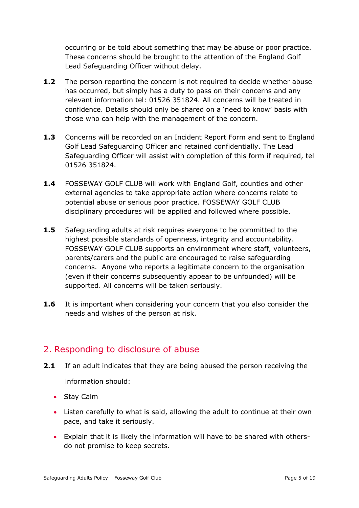occurring or be told about something that may be abuse or poor practice. These concerns should be brought to the attention of the England Golf Lead Safeguarding Officer without delay.

- **1.2** The person reporting the concern is not required to decide whether abuse has occurred, but simply has a duty to pass on their concerns and any relevant information tel: 01526 351824. All concerns will be treated in confidence. Details should only be shared on a 'need to know' basis with those who can help with the management of the concern.
- **1.3** Concerns will be recorded on an Incident Report Form and sent to England Golf Lead Safeguarding Officer and retained confidentially. The Lead Safeguarding Officer will assist with completion of this form if required, tel 01526 351824.
- **1.4** FOSSEWAY GOLF CLUB will work with England Golf, counties and other external agencies to take appropriate action where concerns relate to potential abuse or serious poor practice. FOSSEWAY GOLF CLUB disciplinary procedures will be applied and followed where possible.
- **1.5** Safeguarding adults at risk requires everyone to be committed to the highest possible standards of openness, integrity and accountability. FOSSEWAY GOLF CLUB supports an environment where staff, volunteers, parents/carers and the public are encouraged to raise safeguarding concerns. Anyone who reports a legitimate concern to the organisation (even if their concerns subsequently appear to be unfounded) will be supported. All concerns will be taken seriously.
- **1.6** It is important when considering your concern that you also consider the needs and wishes of the person at risk.

### <span id="page-4-0"></span>2. Responding to disclosure of abuse

- **2.1** If an adult indicates that they are being abused the person receiving the information should:
	- Stay Calm
	- Listen carefully to what is said, allowing the adult to continue at their own pace, and take it seriously.
	- Explain that it is likely the information will have to be shared with othersdo not promise to keep secrets.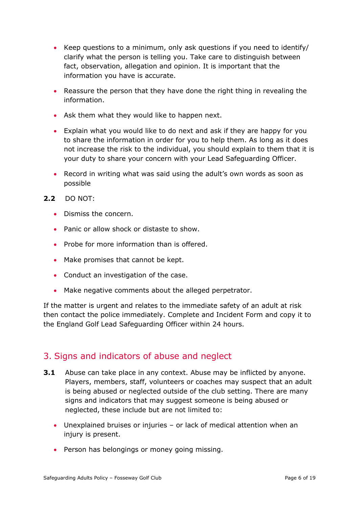- Keep questions to a minimum, only ask questions if you need to identify/ clarify what the person is telling you. Take care to distinguish between fact, observation, allegation and opinion. It is important that the information you have is accurate.
- Reassure the person that they have done the right thing in revealing the information.
- Ask them what they would like to happen next.
- Explain what you would like to do next and ask if they are happy for you to share the information in order for you to help them. As long as it does not increase the risk to the individual, you should explain to them that it is your duty to share your concern with your Lead Safeguarding Officer.
- Record in writing what was said using the adult's own words as soon as possible
- **2.2** DO NOT:
	- Dismiss the concern.
	- Panic or allow shock or distaste to show.
	- Probe for more information than is offered.
	- Make promises that cannot be kept.
	- Conduct an investigation of the case.
	- Make negative comments about the alleged perpetrator.

If the matter is urgent and relates to the immediate safety of an adult at risk then contact the police immediately. Complete and Incident Form and copy it to the England Golf Lead Safeguarding Officer within 24 hours.

### <span id="page-5-0"></span>3. Signs and indicators of abuse and neglect

- **3.1** Abuse can take place in any context. Abuse may be inflicted by anyone. Players, members, staff, volunteers or coaches may suspect that an adult is being abused or neglected outside of the club setting. There are many signs and indicators that may suggest someone is being abused or neglected, these include but are not limited to:
	- Unexplained bruises or injuries or lack of medical attention when an injury is present.
	- Person has belongings or money going missing.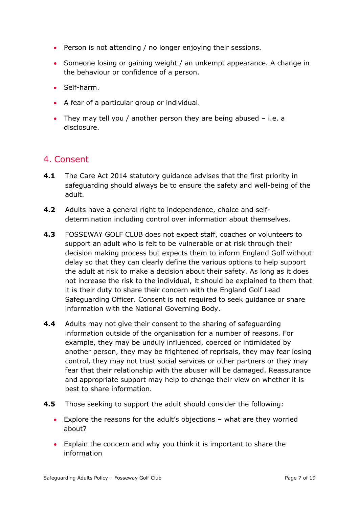- Person is not attending / no longer enjoying their sessions.
- Someone losing or gaining weight / an unkempt appearance. A change in the behaviour or confidence of a person.
- Self-harm.
- A fear of a particular group or individual.
- They may tell you / another person they are being abused i.e. a disclosure.

### <span id="page-6-0"></span>4. Consent

- **4.1** The Care Act 2014 statutory guidance advises that the first priority in safeguarding should always be to ensure the safety and well-being of the adult.
- **4.2** Adults have a general right to independence, choice and selfdetermination including control over information about themselves.
- **4.3** FOSSEWAY GOLF CLUB does not expect staff, coaches or volunteers to support an adult who is felt to be vulnerable or at risk through their decision making process but expects them to inform England Golf without delay so that they can clearly define the various options to help support the adult at risk to make a decision about their safety. As long as it does not increase the risk to the individual, it should be explained to them that it is their duty to share their concern with the England Golf Lead Safeguarding Officer. Consent is not required to seek guidance or share information with the National Governing Body.
- **4.4** Adults may not give their consent to the sharing of safeguarding information outside of the organisation for a number of reasons. For example, they may be unduly influenced, coerced or intimidated by another person, they may be frightened of reprisals, they may fear losing control, they may not trust social services or other partners or they may fear that their relationship with the abuser will be damaged. Reassurance and appropriate support may help to change their view on whether it is best to share information.
- **4.5** Those seeking to support the adult should consider the following:
	- Explore the reasons for the adult's objections what are they worried about?
	- Explain the concern and why you think it is important to share the information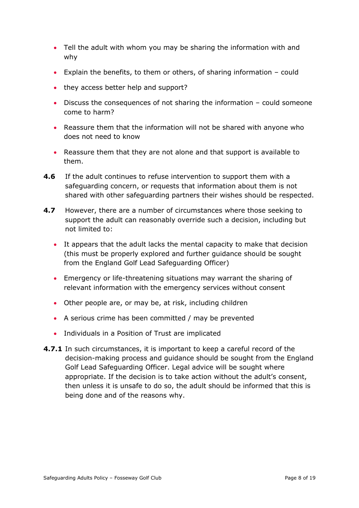- Tell the adult with whom you may be sharing the information with and why
- Explain the benefits, to them or others, of sharing information could
- they access better help and support?
- Discuss the consequences of not sharing the information could someone come to harm?
- Reassure them that the information will not be shared with anyone who does not need to know
- Reassure them that they are not alone and that support is available to them.
- **4.6** If the adult continues to refuse intervention to support them with a safeguarding concern, or requests that information about them is not shared with other safeguarding partners their wishes should be respected.
- **4.7** However, there are a number of circumstances where those seeking to support the adult can reasonably override such a decision, including but not limited to:
	- It appears that the adult lacks the mental capacity to make that decision (this must be properly explored and further guidance should be sought from the England Golf Lead Safeguarding Officer)
	- Emergency or life-threatening situations may warrant the sharing of relevant information with the emergency services without consent
	- Other people are, or may be, at risk, including children
	- A serious crime has been committed / may be prevented
	- Individuals in a Position of Trust are implicated
- **4.7.1** In such circumstances, it is important to keep a careful record of the decision-making process and guidance should be sought from the England Golf Lead Safeguarding Officer. Legal advice will be sought where appropriate. If the decision is to take action without the adult's consent, then unless it is unsafe to do so, the adult should be informed that this is being done and of the reasons why.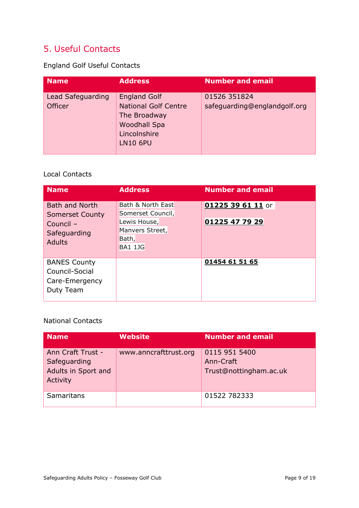### <span id="page-8-0"></span>5. Useful Contacts

England Golf Useful Contacts

| <b>Name</b>                         | <b>Address</b>                                                                                                               | <b>Number and email</b>                      |
|-------------------------------------|------------------------------------------------------------------------------------------------------------------------------|----------------------------------------------|
| Lead Safeguarding<br><b>Officer</b> | <b>England Golf</b><br><b>National Golf Centre</b><br>The Broadway<br><b>Woodhall Spa</b><br>Lincolnshire<br><b>LN10 6PU</b> | 01526 351824<br>safeguarding@englandgolf.org |

#### Local Contacts

| <b>Name</b>                                                          | <b>Address</b>                                             | <b>Number and email</b> |
|----------------------------------------------------------------------|------------------------------------------------------------|-------------------------|
| <b>Bath and North</b><br><b>Somerset County</b>                      | Bath & North East<br>Somerset Council,                     | 01225 39 61 11 or       |
| Council -<br>Safeguarding<br><b>Adults</b>                           | Lewis House,<br>Manvers Street,<br>Bath,<br><b>BA1 1JG</b> | 01225 47 79 29          |
| <b>BANES County</b><br>Council-Social<br>Care-Emergency<br>Duty Team |                                                            | 01454 61 51 65          |

#### National Contacts

| <b>Name</b>                                                          | <b>Website</b>        | <b>Number and email</b>                              |
|----------------------------------------------------------------------|-----------------------|------------------------------------------------------|
| Ann Craft Trust -<br>Safeguarding<br>Adults in Sport and<br>Activity | www.anncrafttrust.org | 0115 951 5400<br>Ann-Craft<br>Trust@nottingham.ac.uk |
| Samaritans                                                           |                       | 01522 782333                                         |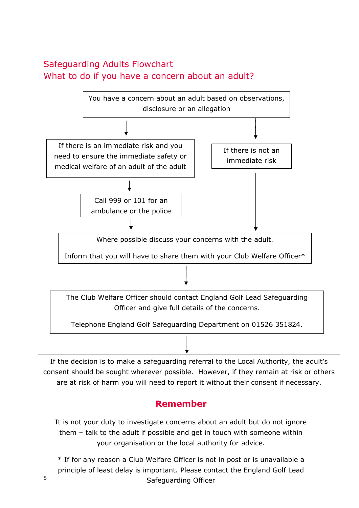### <span id="page-9-0"></span>Safeguarding Adults Flowchart What to do if you have a concern about an adult?



If the decision is to make a safeguarding referral to the Local Authority, the adult's consent should be sought wherever possible. However, if they remain at risk or others are at risk of harm you will need to report it without their consent if necessary.

### **Remember**

It is not your duty to investigate concerns about an adult but do not ignore them – talk to the adult if possible and get in touch with someone within your organisation or the local authority for advice.

s and the Safeguarding Officer – Fossexual Page 10 of 19 of 19 of 19 of 19 of 19 of 19 of 19 of 19 of 19 of 19 of 19 of 19 of 19 of 19 of 19 of 19 of 19 of 19 of 19 of 19 of 19 of 19 of 19 of 19 of 19 of 19 of 19 of 19 of \* If for any reason a Club Welfare Officer is not in post or is unavailable a principle of least delay is important. Please contact the England Golf Lead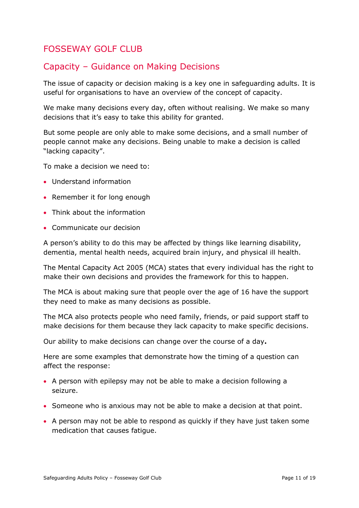### <span id="page-10-0"></span>FOSSEWAY GOLF CLUB

### Capacity – Guidance on Making Decisions

The issue of capacity or decision making is a key one in safeguarding adults. It is useful for organisations to have an overview of the concept of capacity.

We make many decisions every day, often without realising. We make so many decisions that it's easy to take this ability for granted.

But some people are only able to make some decisions, and a small number of people cannot make any decisions. Being unable to make a decision is called "lacking capacity".

To make a decision we need to:

- Understand information
- Remember it for long enough
- Think about the information
- Communicate our decision

A person's ability to do this may be affected by things like learning disability, dementia, mental health needs, acquired brain injury, and physical ill health.

The Mental Capacity Act 2005 (MCA) states that every individual has the right to make their own decisions and provides the framework for this to happen.

The MCA is about making sure that people over the age of 16 have the support they need to make as many decisions as possible.

The MCA also protects people who need family, friends, or paid support staff to make decisions for them because they lack capacity to make specific decisions.

Our ability to make decisions can change over the course of a day**.**

Here are some examples that demonstrate how the timing of a question can affect the response:

- A person with epilepsy may not be able to make a decision following a seizure.
- Someone who is anxious may not be able to make a decision at that point.
- A person may not be able to respond as quickly if they have just taken some medication that causes fatigue.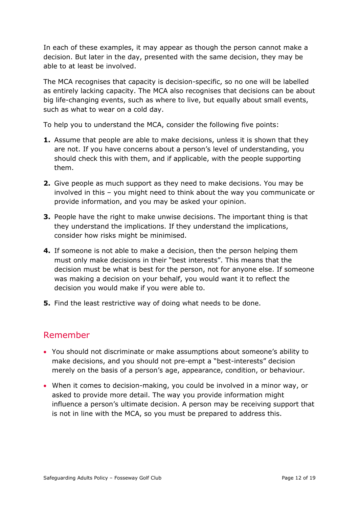In each of these examples, it may appear as though the person cannot make a decision. But later in the day, presented with the same decision, they may be able to at least be involved.

The MCA recognises that capacity is decision-specific, so no one will be labelled as entirely lacking capacity. The MCA also recognises that decisions can be about big life-changing events, such as where to live, but equally about small events, such as what to wear on a cold day.

To help you to understand the MCA, consider the following five points:

- **1.** Assume that people are able to make decisions, unless it is shown that they are not. If you have concerns about a person's level of understanding, you should check this with them, and if applicable, with the people supporting them.
- **2.** Give people as much support as they need to make decisions. You may be involved in this – you might need to think about the way you communicate or provide information, and you may be asked your opinion.
- **3.** People have the right to make unwise decisions. The important thing is that they understand the implications. If they understand the implications, consider how risks might be minimised.
- **4.** If someone is not able to make a decision, then the person helping them must only make decisions in their "best interests". This means that the decision must be what is best for the person, not for anyone else. If someone was making a decision on your behalf, you would want it to reflect the decision you would make if you were able to.
- **5.** Find the least restrictive way of doing what needs to be done.

### Remember

- You should not discriminate or make assumptions about someone's ability to make decisions, and you should not pre-empt a "best-interests" decision merely on the basis of a person's age, appearance, condition, or behaviour.
- When it comes to decision-making, you could be involved in a minor way, or asked to provide more detail. The way you provide information might influence a person's ultimate decision. A person may be receiving support that is not in line with the MCA, so you must be prepared to address this.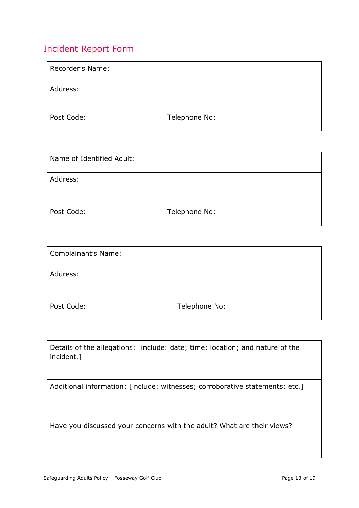### <span id="page-12-0"></span>Incident Report Form

| Recorder's Name: |               |
|------------------|---------------|
| Address:         |               |
| Post Code:       | Telephone No: |

| Name of Identified Adult: |               |
|---------------------------|---------------|
| Address:                  |               |
| Post Code:                | Telephone No: |

| Complainant's Name: |               |
|---------------------|---------------|
| Address:            |               |
| Post Code:          | Telephone No: |

| Details of the allegations: [include: date; time; location; and nature of the<br>incident.] |
|---------------------------------------------------------------------------------------------|
| Additional information: [include: witnesses; corroborative statements; etc.]                |
|                                                                                             |
|                                                                                             |
|                                                                                             |
|                                                                                             |
|                                                                                             |
| Have you discussed your concerns with the adult? What are their views?                      |
|                                                                                             |
|                                                                                             |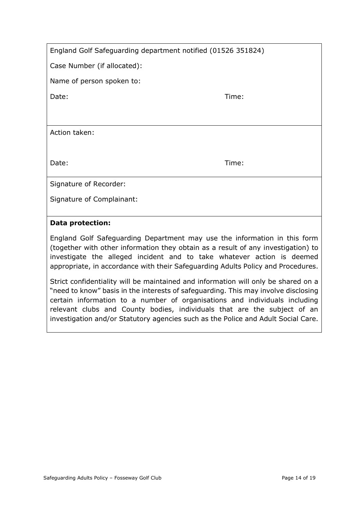| England Golf Safeguarding department notified (01526 351824) |  |  |
|--------------------------------------------------------------|--|--|
|--------------------------------------------------------------|--|--|

Case Number (if allocated):

Name of person spoken to:

Date: Time: Time: The Solution of the Solution of the Solution of the Time: Time:

Action taken:

Date: Time: Time: Time: Time: Time: Time: Time: Time: Time: Time: Time: Time: Time: Time: Time: Time: Time: Time: Time: Time: Time: Time: Time: Time: Time: Time: Time: Time: Time: Time: Time: Time: Time: Time: Time: Time:

Signature of Recorder:

Signature of Complainant:

#### **Data protection:**

England Golf Safeguarding Department may use the information in this form (together with other information they obtain as a result of any investigation) to investigate the alleged incident and to take whatever action is deemed appropriate, in accordance with their Safeguarding Adults Policy and Procedures.

Strict confidentiality will be maintained and information will only be shared on a "need to know" basis in the interests of safeguarding. This may involve disclosing certain information to a number of organisations and individuals including relevant clubs and County bodies, individuals that are the subject of an investigation and/or Statutory agencies such as the Police and Adult Social Care.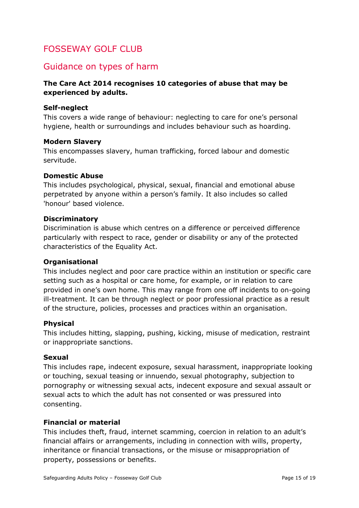### <span id="page-14-0"></span>FOSSEWAY GOLF CLUB

### Guidance on types of harm

#### **The Care Act 2014 recognises 10 categories of abuse that may be experienced by adults.**

#### **Self-neglect**

This covers a wide range of behaviour: neglecting to care for one's personal hygiene, health or surroundings and includes behaviour such as hoarding.

#### **Modern Slavery**

This encompasses slavery, human trafficking, forced labour and domestic servitude.

#### **Domestic Abuse**

This includes psychological, physical, sexual, financial and emotional abuse perpetrated by anyone within a person's family. It also includes so called 'honour' based violence.

#### **Discriminatory**

Discrimination is abuse which centres on a difference or perceived difference particularly with respect to race, gender or disability or any of the protected characteristics of the Equality Act.

#### **Organisational**

This includes neglect and poor care practice within an institution or specific care setting such as a hospital or care home, for example, or in relation to care provided in one's own home. This may range from one off incidents to on-going ill-treatment. It can be through neglect or poor professional practice as a result of the structure, policies, processes and practices within an organisation.

#### **Physical**

This includes hitting, slapping, pushing, kicking, misuse of medication, restraint or inappropriate sanctions.

#### **Sexual**

This includes rape, indecent exposure, sexual harassment, inappropriate looking or touching, sexual teasing or innuendo, sexual photography, subjection to pornography or witnessing sexual acts, indecent exposure and sexual assault or sexual acts to which the adult has not consented or was pressured into consenting.

#### **Financial or material**

This includes theft, fraud, internet scamming, coercion in relation to an adult's financial affairs or arrangements, including in connection with wills, property, inheritance or financial transactions, or the misuse or misappropriation of property, possessions or benefits.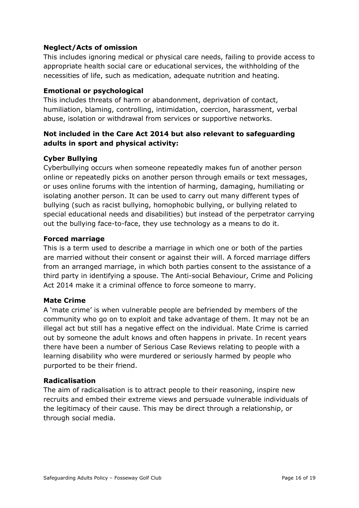#### **Neglect/Acts of omission**

This includes ignoring medical or physical care needs, failing to provide access to appropriate health social care or educational services, the withholding of the necessities of life, such as medication, adequate nutrition and heating.

#### **Emotional or psychological**

This includes threats of harm or abandonment, deprivation of contact, humiliation, blaming, controlling, intimidation, coercion, harassment, verbal abuse, isolation or withdrawal from services or supportive networks.

#### **Not included in the Care Act 2014 but also relevant to safeguarding adults in sport and physical activity:**

#### **Cyber Bullying**

Cyberbullying occurs when someone repeatedly makes fun of another person online or repeatedly picks on another person through emails or text messages, or uses online forums with the intention of harming, damaging, humiliating or isolating another person. It can be used to carry out many different types of bullying (such as racist bullying, homophobic bullying, or bullying related to special educational needs and disabilities) but instead of the perpetrator carrying out the bullying face-to-face, they use technology as a means to do it.

#### **Forced marriage**

This is a term used to describe a marriage in which one or both of the parties are married without their consent or against their will. A forced marriage differs from an arranged marriage, in which both parties consent to the assistance of a third party in identifying a spouse. The Anti-social Behaviour, Crime and Policing Act 2014 make it a criminal offence to force someone to marry.

#### **Mate Crime**

A 'mate crime' is when vulnerable people are befriended by members of the community who go on to exploit and take advantage of them. It may not be an illegal act but still has a negative effect on the individual. Mate Crime is carried out by someone the adult knows and often happens in private. In recent years there have been a number of Serious Case Reviews relating to people with a learning disability who were murdered or seriously harmed by people who purported to be their friend.

#### **Radicalisation**

The aim of radicalisation is to attract people to their reasoning, inspire new recruits and embed their extreme views and persuade vulnerable individuals of the legitimacy of their cause. This may be direct through a relationship, or through social media.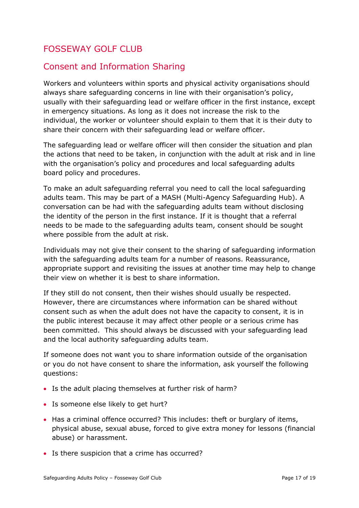### <span id="page-16-0"></span>FOSSEWAY GOLF CLUB

### Consent and Information Sharing

Workers and volunteers within sports and physical activity organisations should always share safeguarding concerns in line with their organisation's policy, usually with their safeguarding lead or welfare officer in the first instance, except in emergency situations. As long as it does not increase the risk to the individual, the worker or volunteer should explain to them that it is their duty to share their concern with their safeguarding lead or welfare officer.

The safeguarding lead or welfare officer will then consider the situation and plan the actions that need to be taken, in conjunction with the adult at risk and in line with the organisation's policy and procedures and local safeguarding adults board policy and procedures.

To make an adult safeguarding referral you need to call the local safeguarding adults team. This may be part of a MASH (Multi*-*Agency Safeguarding Hub). A conversation can be had with the safeguarding adults team without disclosing the identity of the person in the first instance. If it is thought that a referral needs to be made to the safeguarding adults team, consent should be sought where possible from the adult at risk.

Individuals may not give their consent to the sharing of safeguarding information with the safeguarding adults team for a number of reasons. Reassurance, appropriate support and revisiting the issues at another time may help to change their view on whether it is best to share information.

If they still do not consent, then their wishes should usually be respected. However, there are circumstances where information can be shared without consent such as when the adult does not have the capacity to consent, it is in the public interest because it may affect other people or a serious crime has been committed. This should always be discussed with your safeguarding lead and the local authority safeguarding adults team.

If someone does not want you to share information outside of the organisation or you do not have consent to share the information, ask yourself the following questions:

- Is the adult placing themselves at further risk of harm?
- Is someone else likely to get hurt?
- Has a criminal offence occurred? This includes: theft or burglary of items, physical abuse, sexual abuse, forced to give extra money for lessons (financial abuse) or harassment.
- Is there suspicion that a crime has occurred?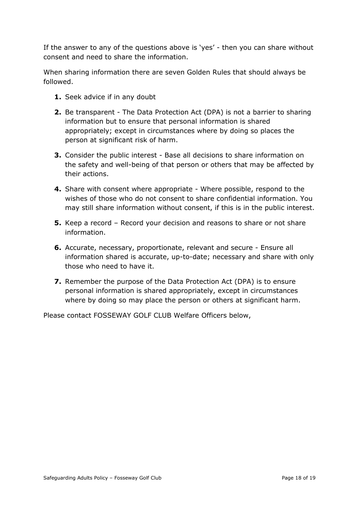If the answer to any of the questions above is 'yes' - then you can share without consent and need to share the information.

When sharing information there are seven Golden Rules that should always be followed.

- **1.** Seek advice if in any doubt
- **2.** Be transparent The Data Protection Act (DPA) is not a barrier to sharing information but to ensure that personal information is shared appropriately; except in circumstances where by doing so places the person at significant risk of harm.
- **3.** Consider the public interest Base all decisions to share information on the safety and well-being of that person or others that may be affected by their actions.
- **4.** Share with consent where appropriate Where possible, respond to the wishes of those who do not consent to share confidential information. You may still share information without consent, if this is in the public interest.
- **5.** Keep a record Record your decision and reasons to share or not share information.
- **6.** Accurate, necessary, proportionate, relevant and secure Ensure all information shared is accurate, up-to-date; necessary and share with only those who need to have it.
- **7.** Remember the purpose of the Data Protection Act (DPA) is to ensure personal information is shared appropriately, except in circumstances where by doing so may place the person or others at significant harm.

Please contact FOSSEWAY GOLF CLUB Welfare Officers below,